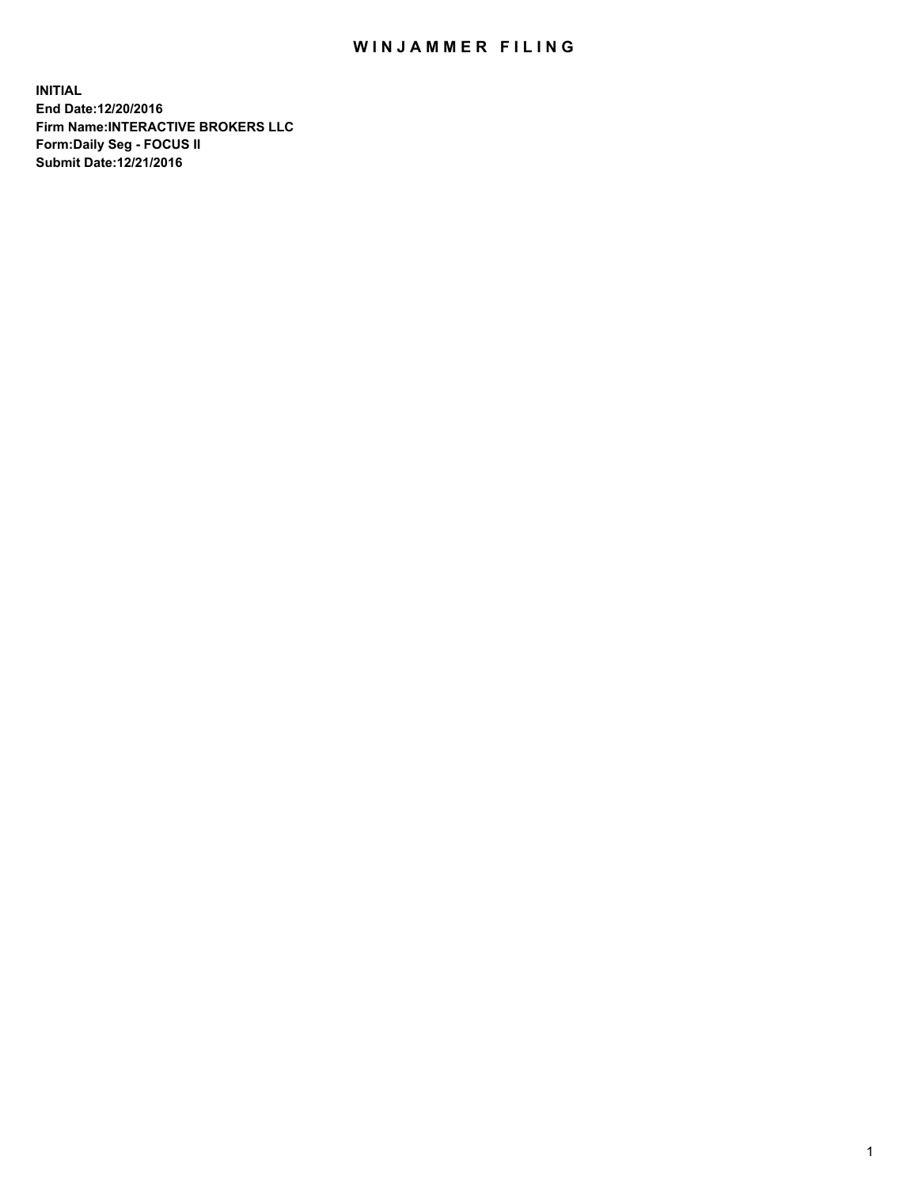## WIN JAMMER FILING

**INITIAL End Date:12/20/2016 Firm Name:INTERACTIVE BROKERS LLC Form:Daily Seg - FOCUS II Submit Date:12/21/2016**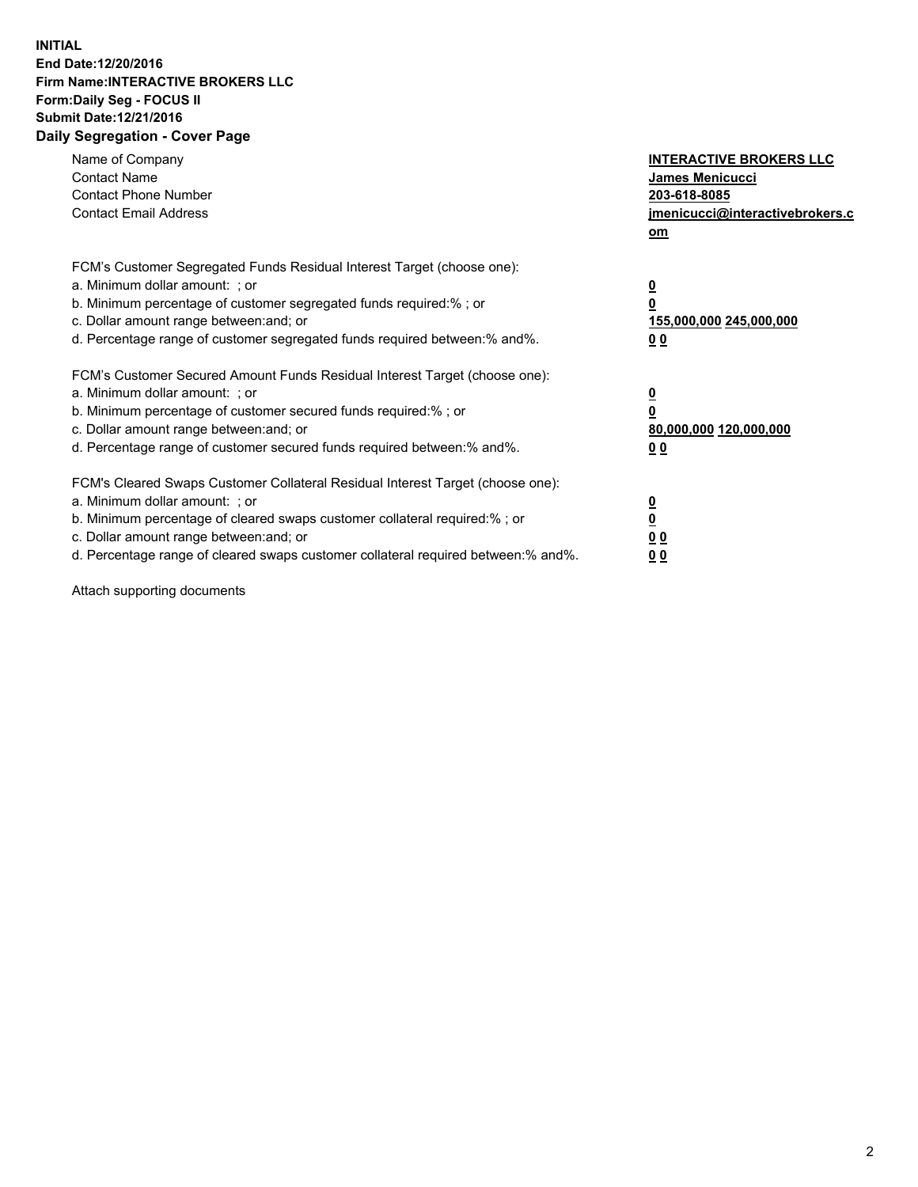## **INITIAL End Date:12/20/2016 Firm Name:INTERACTIVE BROKERS LLC Form:Daily Seg - FOCUS II Submit Date:12/21/2016 Daily Segregation - Cover Page**

| Name of Company<br><b>Contact Name</b><br><b>Contact Phone Number</b><br><b>Contact Email Address</b>                                                                                                                                                                                                                          | <b>INTERACTIVE BROKERS LLC</b><br>James Menicucci<br>203-618-8085<br><u>jmenicucci@interactivebrokers.c</u><br>om |
|--------------------------------------------------------------------------------------------------------------------------------------------------------------------------------------------------------------------------------------------------------------------------------------------------------------------------------|-------------------------------------------------------------------------------------------------------------------|
| FCM's Customer Segregated Funds Residual Interest Target (choose one):<br>a. Minimum dollar amount: ; or<br>b. Minimum percentage of customer segregated funds required:%; or<br>c. Dollar amount range between: and; or<br>d. Percentage range of customer segregated funds required between:% and%.                          | $\overline{\mathbf{0}}$<br>0<br>155,000,000 245,000,000<br>0 <sub>0</sub>                                         |
| FCM's Customer Secured Amount Funds Residual Interest Target (choose one):<br>a. Minimum dollar amount: ; or<br>b. Minimum percentage of customer secured funds required:%; or<br>c. Dollar amount range between: and; or<br>d. Percentage range of customer secured funds required between:% and%.                            | $\overline{\mathbf{0}}$<br>$\overline{\mathbf{0}}$<br>80,000,000 120,000,000<br>00                                |
| FCM's Cleared Swaps Customer Collateral Residual Interest Target (choose one):<br>a. Minimum dollar amount: ; or<br>b. Minimum percentage of cleared swaps customer collateral required:% ; or<br>c. Dollar amount range between: and; or<br>d. Percentage range of cleared swaps customer collateral required between:% and%. | $\overline{\mathbf{0}}$<br>$\overline{\mathbf{0}}$<br>0 <sub>0</sub><br><u>00</u>                                 |

Attach supporting documents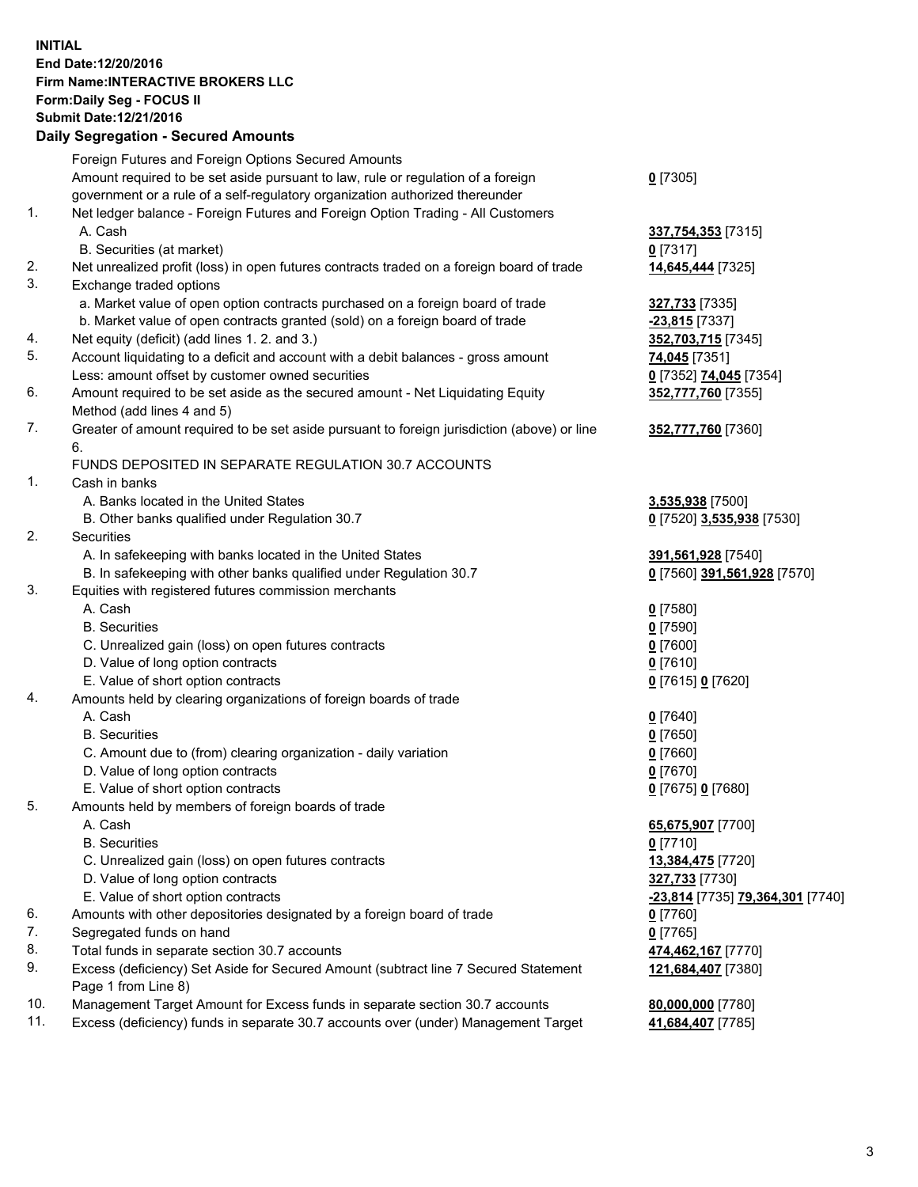## **INITIAL End Date:12/20/2016 Firm Name:INTERACTIVE BROKERS LLC Form:Daily Seg - FOCUS II Submit Date:12/21/2016 Daily Segregation - Secured Amounts**

|     | Daily Jegiegation - Jeculeu Alliounts                                                                      |                                  |
|-----|------------------------------------------------------------------------------------------------------------|----------------------------------|
|     | Foreign Futures and Foreign Options Secured Amounts                                                        |                                  |
|     | Amount required to be set aside pursuant to law, rule or regulation of a foreign                           | $0$ [7305]                       |
|     | government or a rule of a self-regulatory organization authorized thereunder                               |                                  |
| 1.  | Net ledger balance - Foreign Futures and Foreign Option Trading - All Customers                            |                                  |
|     | A. Cash                                                                                                    | 337,754,353 [7315]               |
|     | B. Securities (at market)                                                                                  | $0$ [7317]                       |
| 2.  | Net unrealized profit (loss) in open futures contracts traded on a foreign board of trade                  | 14,645,444 [7325]                |
| 3.  | Exchange traded options                                                                                    |                                  |
|     | a. Market value of open option contracts purchased on a foreign board of trade                             | 327,733 [7335]                   |
|     | b. Market value of open contracts granted (sold) on a foreign board of trade                               | $-23,815$ [7337]                 |
| 4.  | Net equity (deficit) (add lines 1. 2. and 3.)                                                              | 352,703,715 [7345]               |
| 5.  | Account liquidating to a deficit and account with a debit balances - gross amount                          | 74,045 [7351]                    |
|     | Less: amount offset by customer owned securities                                                           | 0 [7352] 74,045 [7354]           |
| 6.  | Amount required to be set aside as the secured amount - Net Liquidating Equity                             | 352,777,760 [7355]               |
|     | Method (add lines 4 and 5)                                                                                 |                                  |
| 7.  | Greater of amount required to be set aside pursuant to foreign jurisdiction (above) or line                | 352,777,760 [7360]               |
|     | 6.                                                                                                         |                                  |
|     | FUNDS DEPOSITED IN SEPARATE REGULATION 30.7 ACCOUNTS                                                       |                                  |
| 1.  | Cash in banks                                                                                              |                                  |
|     | A. Banks located in the United States                                                                      | 3,535,938 [7500]                 |
|     | B. Other banks qualified under Regulation 30.7                                                             | 0 [7520] 3,535,938 [7530]        |
| 2.  | Securities                                                                                                 |                                  |
|     | A. In safekeeping with banks located in the United States                                                  | 391,561,928 [7540]               |
|     | B. In safekeeping with other banks qualified under Regulation 30.7                                         | 0 [7560] 391,561,928 [7570]      |
| 3.  | Equities with registered futures commission merchants                                                      |                                  |
|     | A. Cash                                                                                                    | $0$ [7580]                       |
|     | <b>B.</b> Securities                                                                                       | $0$ [7590]                       |
|     | C. Unrealized gain (loss) on open futures contracts                                                        | $0$ [7600]                       |
|     | D. Value of long option contracts                                                                          | $0$ [7610]                       |
|     | E. Value of short option contracts                                                                         | 0 [7615] 0 [7620]                |
| 4.  | Amounts held by clearing organizations of foreign boards of trade                                          |                                  |
|     | A. Cash                                                                                                    |                                  |
|     | <b>B.</b> Securities                                                                                       | $0$ [7640]<br>$0$ [7650]         |
|     | C. Amount due to (from) clearing organization - daily variation                                            |                                  |
|     | D. Value of long option contracts                                                                          | $0$ [7660]<br>$0$ [7670]         |
|     |                                                                                                            |                                  |
| 5.  | E. Value of short option contracts                                                                         | 0 [7675] 0 [7680]                |
|     | Amounts held by members of foreign boards of trade                                                         |                                  |
|     | A. Cash<br><b>B.</b> Securities                                                                            | 65,675,907 [7700]<br>$0$ [7710]  |
|     |                                                                                                            |                                  |
|     | C. Unrealized gain (loss) on open futures contracts                                                        | 13,384,475 [7720]                |
|     | D. Value of long option contracts                                                                          | 327,733 [7730]                   |
|     | E. Value of short option contracts                                                                         | -23,814 [7735] 79,364,301 [7740] |
| 6.  | Amounts with other depositories designated by a foreign board of trade                                     | 0 [7760]                         |
| 7.  | Segregated funds on hand                                                                                   | $0$ [7765]                       |
| 8.  | Total funds in separate section 30.7 accounts                                                              | 474,462,167 [7770]               |
| 9.  | Excess (deficiency) Set Aside for Secured Amount (subtract line 7 Secured Statement<br>Page 1 from Line 8) | 121,684,407 [7380]               |
| 10. | Management Target Amount for Excess funds in separate section 30.7 accounts                                | 80,000,000 [7780]                |
| 11. | Excess (deficiency) funds in separate 30.7 accounts over (under) Management Target                         | 41,684,407 [7785]                |
|     |                                                                                                            |                                  |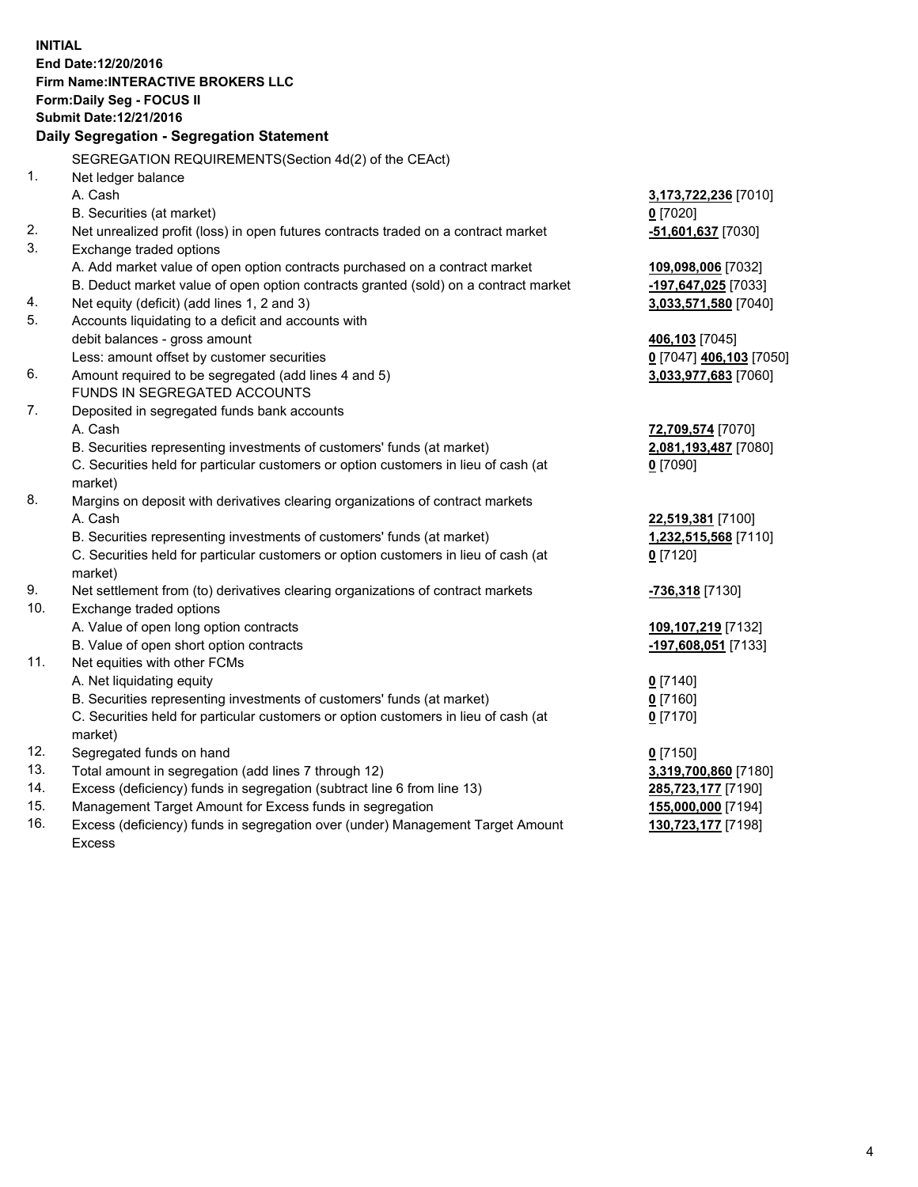**INITIAL End Date:12/20/2016 Firm Name:INTERACTIVE BROKERS LLC Form:Daily Seg - FOCUS II Submit Date:12/21/2016 Daily Segregation - Segregation Statement** SEGREGATION REQUIREMENTS(Section 4d(2) of the CEAct) 1. Net ledger balance A. Cash **3,173,722,236** [7010] B. Securities (at market) **0** [7020] 2. Net unrealized profit (loss) in open futures contracts traded on a contract market **-51,601,637** [7030] 3. Exchange traded options A. Add market value of open option contracts purchased on a contract market **109,098,006** [7032] B. Deduct market value of open option contracts granted (sold) on a contract market **-197,647,025** [7033] 4. Net equity (deficit) (add lines 1, 2 and 3) **3,033,571,580** [7040] 5. Accounts liquidating to a deficit and accounts with debit balances - gross amount **406,103** [7045] Less: amount offset by customer securities **0** [7047] **406,103** [7050] 6. Amount required to be segregated (add lines 4 and 5) **3,033,977,683** [7060] FUNDS IN SEGREGATED ACCOUNTS 7. Deposited in segregated funds bank accounts A. Cash **72,709,574** [7070] B. Securities representing investments of customers' funds (at market) **2,081,193,487** [7080] C. Securities held for particular customers or option customers in lieu of cash (at market) **0** [7090] 8. Margins on deposit with derivatives clearing organizations of contract markets A. Cash **22,519,381** [7100] B. Securities representing investments of customers' funds (at market) **1,232,515,568** [7110] C. Securities held for particular customers or option customers in lieu of cash (at market) **0** [7120] 9. Net settlement from (to) derivatives clearing organizations of contract markets **-736,318** [7130] 10. Exchange traded options A. Value of open long option contracts **109,107,219** [7132] B. Value of open short option contracts **-197,608,051** [7133] 11. Net equities with other FCMs A. Net liquidating equity **0** [7140] B. Securities representing investments of customers' funds (at market) **0** [7160] C. Securities held for particular customers or option customers in lieu of cash (at market) **0** [7170] 12. Segregated funds on hand **0** [7150] 13. Total amount in segregation (add lines 7 through 12) **3,319,700,860** [7180] 14. Excess (deficiency) funds in segregation (subtract line 6 from line 13) **285,723,177** [7190] 15. Management Target Amount for Excess funds in segregation **155,000,000** [7194] 16. Excess (deficiency) funds in segregation over (under) Management Target Amount **130,723,177** [7198]

Excess